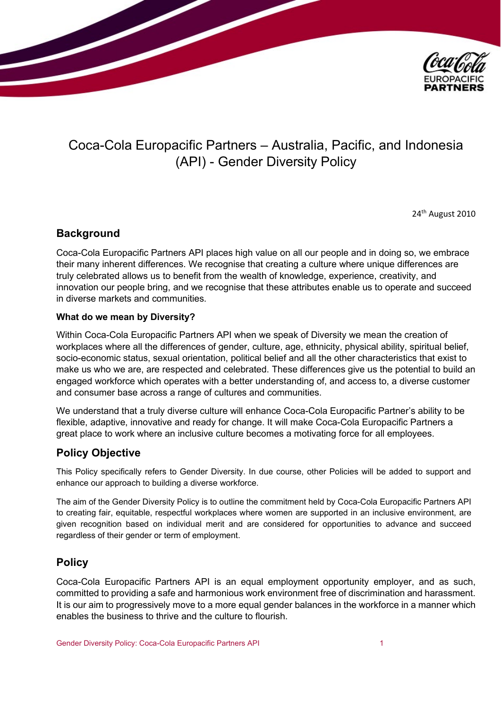

# Coca-Cola Europacific Partners – Australia, Pacific, and Indonesia (API) - Gender Diversity Policy

24<sup>th</sup> August 2010

### **Background**

Coca-Cola Europacific Partners API places high value on all our people and in doing so, we embrace their many inherent differences. We recognise that creating a culture where unique differences are truly celebrated allows us to benefit from the wealth of knowledge, experience, creativity, and innovation our people bring, and we recognise that these attributes enable us to operate and succeed in diverse markets and communities.

### **What do we mean by Diversity?**

Within Coca-Cola Europacific Partners API when we speak of Diversity we mean the creation of workplaces where all the differences of gender, culture, age, ethnicity, physical ability, spiritual belief, socio-economic status, sexual orientation, political belief and all the other characteristics that exist to make us who we are, are respected and celebrated. These differences give us the potential to build an engaged workforce which operates with a better understanding of, and access to, a diverse customer and consumer base across a range of cultures and communities.

We understand that a truly diverse culture will enhance Coca-Cola Europacific Partner's ability to be flexible, adaptive, innovative and ready for change. It will make Coca-Cola Europacific Partners a great place to work where an inclusive culture becomes a motivating force for all employees.

# **Policy Objective**

This Policy specifically refers to Gender Diversity. In due course, other Policies will be added to support and enhance our approach to building a diverse workforce.

The aim of the Gender Diversity Policy is to outline the commitment held by Coca-Cola Europacific Partners API to creating fair, equitable, respectful workplaces where women are supported in an inclusive environment, are given recognition based on individual merit and are considered for opportunities to advance and succeed regardless of their gender or term of employment.

# **Policy**

Coca-Cola Europacific Partners API is an equal employment opportunity employer, and as such, committed to providing a safe and harmonious work environment free of discrimination and harassment. It is our aim to progressively move to a more equal gender balances in the workforce in a manner which enables the business to thrive and the culture to flourish.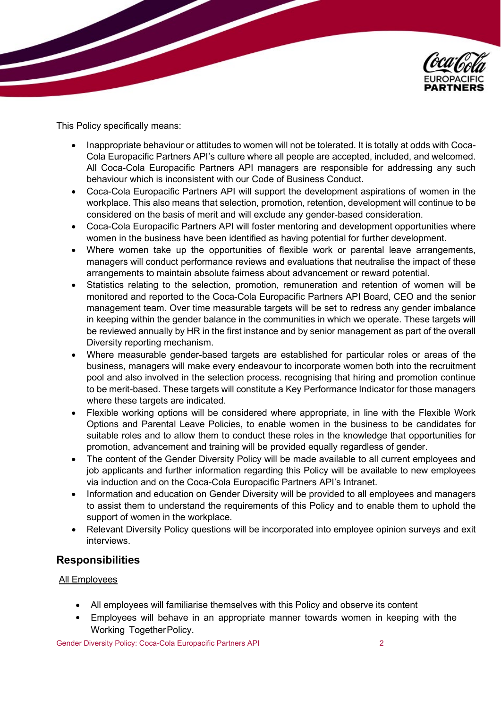

This Policy specifically means:

- Inappropriate behaviour or attitudes to women will not be tolerated. It is totally at odds with Coca-Cola Europacific Partners API's culture where all people are accepted, included, and welcomed. All Coca-Cola Europacific Partners API managers are responsible for addressing any such behaviour which is inconsistent with our Code of Business Conduct.
- Coca-Cola Europacific Partners API will support the development aspirations of women in the workplace. This also means that selection, promotion, retention, development will continue to be considered on the basis of merit and will exclude any gender-based consideration.
- Coca-Cola Europacific Partners API will foster mentoring and development opportunities where women in the business have been identified as having potential for further development.
- Where women take up the opportunities of flexible work or parental leave arrangements, managers will conduct performance reviews and evaluations that neutralise the impact of these arrangements to maintain absolute fairness about advancement or reward potential.
- Statistics relating to the selection, promotion, remuneration and retention of women will be monitored and reported to the Coca-Cola Europacific Partners API Board, CEO and the senior management team. Over time measurable targets will be set to redress any gender imbalance in keeping within the gender balance in the communities in which we operate. These targets will be reviewed annually by HR in the first instance and by senior management as part of the overall Diversity reporting mechanism.
- Where measurable gender-based targets are established for particular roles or areas of the business, managers will make every endeavour to incorporate women both into the recruitment pool and also involved in the selection process. recognising that hiring and promotion continue to be merit-based. These targets will constitute a Key Performance Indicator for those managers where these targets are indicated.
- Flexible working options will be considered where appropriate, in line with the Flexible Work Options and Parental Leave Policies, to enable women in the business to be candidates for suitable roles and to allow them to conduct these roles in the knowledge that opportunities for promotion, advancement and training will be provided equally regardless of gender.
- The content of the Gender Diversity Policy will be made available to all current employees and job applicants and further information regarding this Policy will be available to new employees via induction and on the Coca-Cola Europacific Partners API's Intranet.
- Information and education on Gender Diversity will be provided to all employees and managers to assist them to understand the requirements of this Policy and to enable them to uphold the support of women in the workplace.
- Relevant Diversity Policy questions will be incorporated into employee opinion surveys and exit interviews.

# **Responsibilities**

### All Employees

- All employees will familiarise themselves with this Policy and observe its content
- Employees will behave in an appropriate manner towards women in keeping with the  $\bullet$ Working TogetherPolicy.

Gender Diversity Policy: Coca-Cola Europacific Partners API 2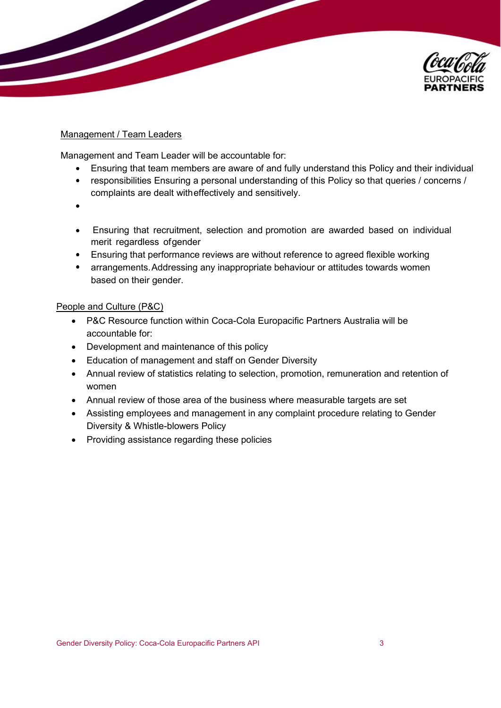

### Management / Team Leaders

Management and Team Leader will be accountable for:

- $\bullet$ Ensuring that team members are aware of and fully understand this Policy and their individual
- responsibilities Ensuring a personal understanding of this Policy so that queries / concerns /  $\bullet$  . complaints are dealt witheffectively and sensitively.
- 
- Ensuring that recruitment, selection and promotion are awarded based on individual merit regardless ofgender
- Ensuring that performance reviews are without reference to agreed flexible working
- $\bullet$ arrangements.Addressing any inappropriate behaviour or attitudes towards women based on their gender.

### People and Culture (P&C)

- P&C Resource function within Coca-Cola Europacific Partners Australia will be accountable for:
- Development and maintenance of this policy
- Education of management and staff on Gender Diversity
- Annual review of statistics relating to selection, promotion, remuneration and retention of women
- Annual review of those area of the business where measurable targets are set
- Assisting employees and management in any complaint procedure relating to Gender Diversity & Whistle-blowers Policy
- Providing assistance regarding these policies